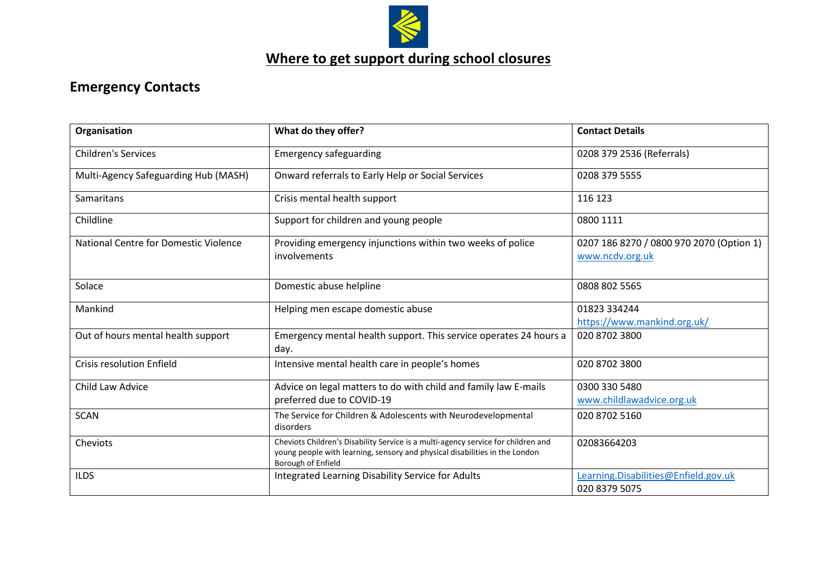

## **Emergency Contacts**

| Organisation                          | What do they offer?                                                                                                                                                                    | <b>Contact Details</b>                                      |
|---------------------------------------|----------------------------------------------------------------------------------------------------------------------------------------------------------------------------------------|-------------------------------------------------------------|
| <b>Children's Services</b>            | <b>Emergency safeguarding</b>                                                                                                                                                          | 0208 379 2536 (Referrals)                                   |
| Multi-Agency Safeguarding Hub (MASH)  | Onward referrals to Early Help or Social Services                                                                                                                                      | 0208 379 5555                                               |
| Samaritans                            | Crisis mental health support                                                                                                                                                           | 116 123                                                     |
| Childline                             | Support for children and young people                                                                                                                                                  | 0800 1111                                                   |
| National Centre for Domestic Violence | Providing emergency injunctions within two weeks of police<br>involvements                                                                                                             | 0207 186 8270 / 0800 970 2070 (Option 1)<br>www.ncdv.org.uk |
| Solace                                | Domestic abuse helpline                                                                                                                                                                | 0808 802 5565                                               |
| Mankind                               | Helping men escape domestic abuse                                                                                                                                                      | 01823 334244<br>https://www.mankind.org.uk/                 |
| Out of hours mental health support    | Emergency mental health support. This service operates 24 hours a<br>day.                                                                                                              | 020 8702 3800                                               |
| <b>Crisis resolution Enfield</b>      | Intensive mental health care in people's homes                                                                                                                                         | 020 8702 3800                                               |
| Child Law Advice                      | Advice on legal matters to do with child and family law E-mails<br>preferred due to COVID-19                                                                                           | 0300 330 5480<br>www.childlawadvice.org.uk                  |
| <b>SCAN</b>                           | The Service for Children & Adolescents with Neurodevelopmental<br>disorders                                                                                                            | 020 8702 5160                                               |
| Cheviots                              | Cheviots Children's Disability Service is a multi-agency service for children and<br>young people with learning, sensory and physical disabilities in the London<br>Borough of Enfield | 02083664203                                                 |
| <b>ILDS</b>                           | <b>Integrated Learning Disability Service for Adults</b>                                                                                                                               | Learning.Disabilities@Enfield.gov.uk<br>020 8379 5075       |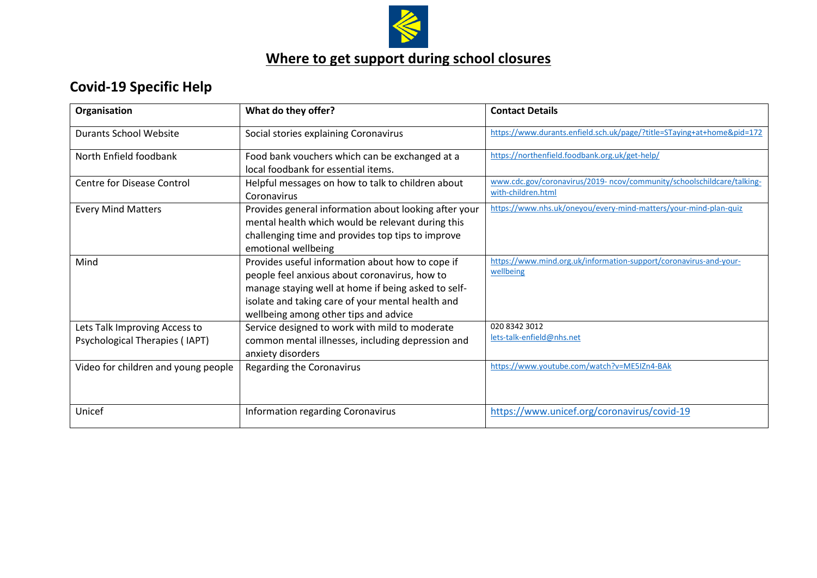

## **Covid-19 Specific Help**

| Organisation                                                    | What do they offer?                                                                                                                                                                                                                                    | <b>Contact Details</b>                                                                       |
|-----------------------------------------------------------------|--------------------------------------------------------------------------------------------------------------------------------------------------------------------------------------------------------------------------------------------------------|----------------------------------------------------------------------------------------------|
| <b>Durants School Website</b>                                   | Social stories explaining Coronavirus                                                                                                                                                                                                                  | https://www.durants.enfield.sch.uk/page/?title=STaying+at+home&pid=172                       |
| North Enfield foodbank                                          | Food bank vouchers which can be exchanged at a<br>local foodbank for essential items.                                                                                                                                                                  | https://northenfield.foodbank.org.uk/get-help/                                               |
| <b>Centre for Disease Control</b>                               | Helpful messages on how to talk to children about<br>Coronavirus                                                                                                                                                                                       | www.cdc.gov/coronavirus/2019- ncov/community/schoolschildcare/talking-<br>with-children.html |
| <b>Every Mind Matters</b>                                       | Provides general information about looking after your<br>mental health which would be relevant during this<br>challenging time and provides top tips to improve<br>emotional wellbeing                                                                 | https://www.nhs.uk/oneyou/every-mind-matters/your-mind-plan-quiz                             |
| Mind                                                            | Provides useful information about how to cope if<br>people feel anxious about coronavirus, how to<br>manage staying well at home if being asked to self-<br>isolate and taking care of your mental health and<br>wellbeing among other tips and advice | https://www.mind.org.uk/information-support/coronavirus-and-your-<br>wellbeing               |
| Lets Talk Improving Access to<br>Psychological Therapies (IAPT) | Service designed to work with mild to moderate<br>common mental illnesses, including depression and<br>anxiety disorders                                                                                                                               | 020 8342 3012<br>lets-talk-enfield@nhs.net                                                   |
| Video for children and young people                             | Regarding the Coronavirus                                                                                                                                                                                                                              | https://www.youtube.com/watch?v=ME5IZn4-BAk                                                  |
| Unicef                                                          | <b>Information regarding Coronavirus</b>                                                                                                                                                                                                               | https://www.unicef.org/coronavirus/covid-19                                                  |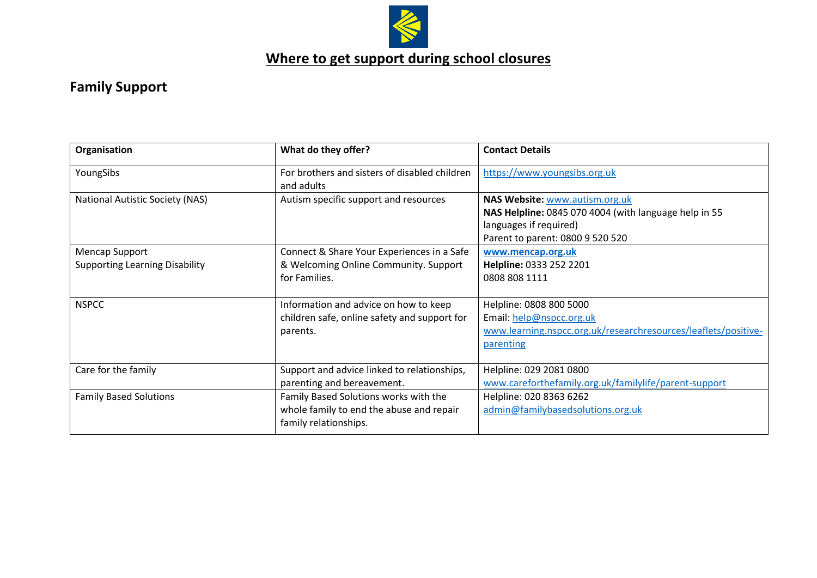

## **Family Support**

| Organisation                                            | What do they offer?                                                                                        | <b>Contact Details</b>                                                                                                                                |
|---------------------------------------------------------|------------------------------------------------------------------------------------------------------------|-------------------------------------------------------------------------------------------------------------------------------------------------------|
| YoungSibs                                               | For brothers and sisters of disabled children<br>and adults                                                | https://www.youngsibs.org.uk                                                                                                                          |
| <b>National Autistic Society (NAS)</b>                  | Autism specific support and resources                                                                      | NAS Website: www.autism.org.uk<br>NAS Helpline: 0845 070 4004 (with language help in 55<br>languages if required)<br>Parent to parent: 0800 9 520 520 |
| Mencap Support<br><b>Supporting Learning Disability</b> | Connect & Share Your Experiences in a Safe<br>& Welcoming Online Community. Support<br>for Families.       | www.mencap.org.uk<br>Helpline: 0333 252 2201<br>0808 808 1111                                                                                         |
| <b>NSPCC</b>                                            | Information and advice on how to keep<br>children safe, online safety and support for<br>parents.          | Helpline: 0808 800 5000<br>Email: help@nspcc.org.uk<br>www.learning.nspcc.org.uk/researchresources/leaflets/positive-<br>parenting                    |
| Care for the family                                     | Support and advice linked to relationships,<br>parenting and bereavement.                                  | Helpline: 029 2081 0800<br>www.careforthefamily.org.uk/familylife/parent-support                                                                      |
| <b>Family Based Solutions</b>                           | Family Based Solutions works with the<br>whole family to end the abuse and repair<br>family relationships. | Helpline: 020 8363 6262<br>admin@familybasedsolutions.org.uk                                                                                          |